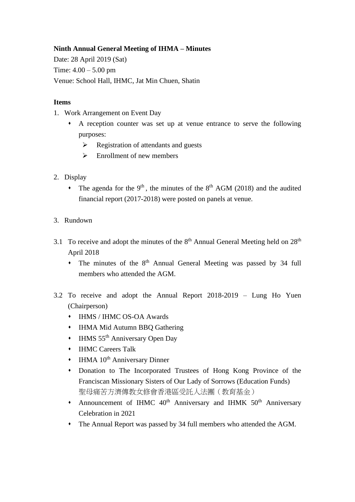## **Ninth Annual General Meeting of IHMA – Minutes**

Date: 28 April 2019 (Sat) Time: 4.00 – 5.00 pm Venue: School Hall, IHMC, Jat Min Chuen, Shatin

## **Items**

- 1. Work Arrangement on Event Day
	- ⬧ A reception counter was set up at venue entrance to serve the following purposes:
		- ➢ Registration of attendants and guests
		- $\triangleright$  Enrollment of new members
- 2. Display
	- The agenda for the  $9<sup>th</sup>$ , the minutes of the  $8<sup>th</sup>$  AGM (2018) and the audited financial report (2017-2018) were posted on panels at venue.
- 3. Rundown
- 3.1 To receive and adopt the minutes of the  $8<sup>th</sup>$  Annual General Meeting held on  $28<sup>th</sup>$ April 2018
	- The minutes of the 8<sup>th</sup> Annual General Meeting was passed by 34 full members who attended the AGM.
- 3.2 To receive and adopt the Annual Report 2018-2019 Lung Ho Yuen (Chairperson)
	- ⬧ IHMS / IHMC OS-OA Awards
	- ⬧ IHMA Mid Autumn BBQ Gathering
	- IHMS 55<sup>th</sup> Anniversary Open Day
	- ⬧ IHMC Careers Talk
	- $\cdot$  IHMA 10<sup>th</sup> Anniversary Dinner
	- ⬧ Donation to The Incorporated Trustees of Hong Kong Province of the Franciscan Missionary Sisters of Our Lady of Sorrows (Education Funds) 聖母痛苦方濟傳教女修會香港區受託人法團(教育基金)
	- Announcement of IHMC 40<sup>th</sup> Anniversary and IHMK 50<sup>th</sup> Anniversary Celebration in 2021
	- ⬧ The Annual Report was passed by 34 full members who attended the AGM.